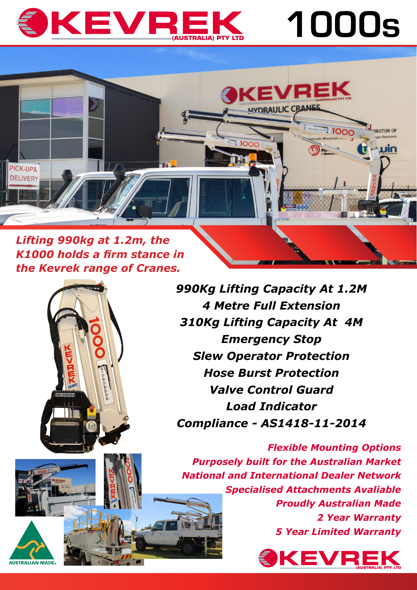# SKEVREK

#### *Lifting 990kg at 1.2m, the K1000 holds a firm stance in the Kevrek range of Cranes.*



*990Kg Lifting Capacity At 1.2M 4 Metre Full Extension 310Kg Lifting Capacity At 4M Emergency Stop Slew Operator Protection Hose Burst Protection Valve Control Guard Load Indicator Compliance - AS1418-11-2014*

*Flexible Mounting Options Purposely built for the Australian Market National and International Dealer Network Specialised Attachments Avaliable Proudly Australian Made 2 Year Warranty 5 Year Limited Warranty*



1000s

**ROOD** 

**ENRUTOR OF** 

₹JJİN

**KEVREK** 

**IVDRAULIC CRANES** 

**REA** 1000



PICK-UP<sub>8</sub> **DELIVERY**